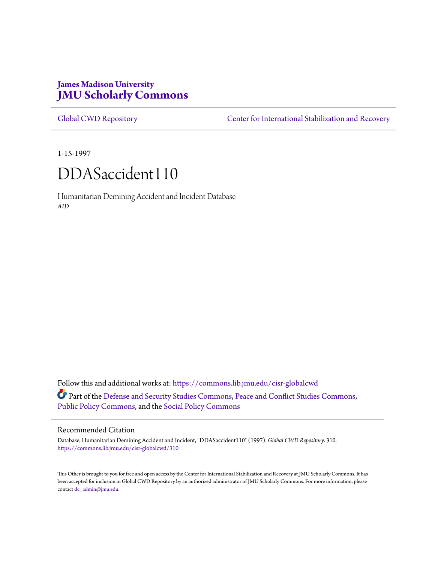# **James Madison University [JMU Scholarly Commons](https://commons.lib.jmu.edu?utm_source=commons.lib.jmu.edu%2Fcisr-globalcwd%2F310&utm_medium=PDF&utm_campaign=PDFCoverPages)**

[Global CWD Repository](https://commons.lib.jmu.edu/cisr-globalcwd?utm_source=commons.lib.jmu.edu%2Fcisr-globalcwd%2F310&utm_medium=PDF&utm_campaign=PDFCoverPages) **[Center for International Stabilization and Recovery](https://commons.lib.jmu.edu/cisr?utm_source=commons.lib.jmu.edu%2Fcisr-globalcwd%2F310&utm_medium=PDF&utm_campaign=PDFCoverPages)** 

1-15-1997

# DDASaccident110

Humanitarian Demining Accident and Incident Database *AID*

Follow this and additional works at: [https://commons.lib.jmu.edu/cisr-globalcwd](https://commons.lib.jmu.edu/cisr-globalcwd?utm_source=commons.lib.jmu.edu%2Fcisr-globalcwd%2F310&utm_medium=PDF&utm_campaign=PDFCoverPages) Part of the [Defense and Security Studies Commons](http://network.bepress.com/hgg/discipline/394?utm_source=commons.lib.jmu.edu%2Fcisr-globalcwd%2F310&utm_medium=PDF&utm_campaign=PDFCoverPages), [Peace and Conflict Studies Commons](http://network.bepress.com/hgg/discipline/397?utm_source=commons.lib.jmu.edu%2Fcisr-globalcwd%2F310&utm_medium=PDF&utm_campaign=PDFCoverPages), [Public Policy Commons,](http://network.bepress.com/hgg/discipline/400?utm_source=commons.lib.jmu.edu%2Fcisr-globalcwd%2F310&utm_medium=PDF&utm_campaign=PDFCoverPages) and the [Social Policy Commons](http://network.bepress.com/hgg/discipline/1030?utm_source=commons.lib.jmu.edu%2Fcisr-globalcwd%2F310&utm_medium=PDF&utm_campaign=PDFCoverPages)

#### Recommended Citation

Database, Humanitarian Demining Accident and Incident, "DDASaccident110" (1997). *Global CWD Repository*. 310. [https://commons.lib.jmu.edu/cisr-globalcwd/310](https://commons.lib.jmu.edu/cisr-globalcwd/310?utm_source=commons.lib.jmu.edu%2Fcisr-globalcwd%2F310&utm_medium=PDF&utm_campaign=PDFCoverPages)

This Other is brought to you for free and open access by the Center for International Stabilization and Recovery at JMU Scholarly Commons. It has been accepted for inclusion in Global CWD Repository by an authorized administrator of JMU Scholarly Commons. For more information, please contact [dc\\_admin@jmu.edu.](mailto:dc_admin@jmu.edu)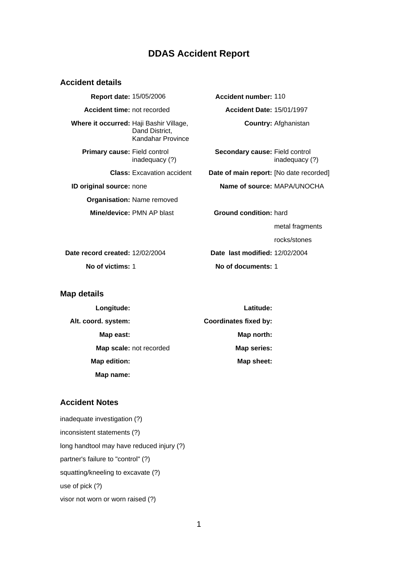# **DDAS Accident Report**

#### **Accident details**

**Report date:** 15/05/2006 **Accident number:** 110 **Accident time:** not recorded **Accident Date:** 15/01/1997 **Where it occurred:** Haji Bashir Village, Dand District, Kandahar Province **Primary cause:** Field control inadequacy (?) **ID original source:** none **Name of source:** MAPA/UNOCHA **Organisation:** Name removed **Mine/device: PMN AP blast <b>Ground condition:** hard

**Country:** Afghanistan

**Secondary cause:** Field control inadequacy (?)

**Class:** Excavation accident **Date of main report:** [No date recorded]

metal fragments

rocks/stones

**Date record created:** 12/02/2004 **Date last modified:** 12/02/2004 **No of victims:** 1 **No of documents:** 1

#### **Map details**

| Longitude:              | Latitude:                    |
|-------------------------|------------------------------|
| Alt. coord. system:     | <b>Coordinates fixed by:</b> |
| Map east:               | Map north:                   |
| Map scale: not recorded | Map series:                  |
| Map edition:            | Map sheet:                   |
| Map name:               |                              |

# **Accident Notes**

inadequate investigation (?) inconsistent statements (?) long handtool may have reduced injury (?) partner's failure to "control" (?) squatting/kneeling to excavate (?) use of pick (?) visor not worn or worn raised (?)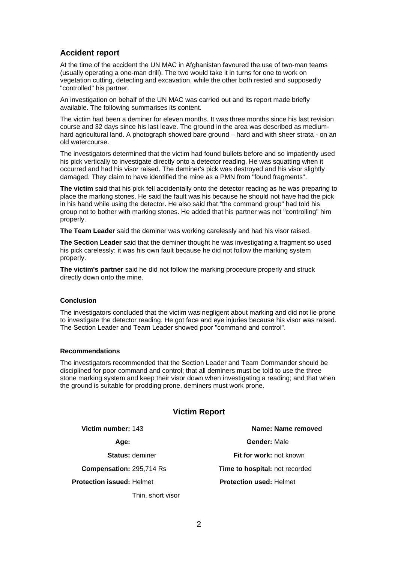### **Accident report**

At the time of the accident the UN MAC in Afghanistan favoured the use of two-man teams (usually operating a one-man drill). The two would take it in turns for one to work on vegetation cutting, detecting and excavation, while the other both rested and supposedly "controlled" his partner.

An investigation on behalf of the UN MAC was carried out and its report made briefly available. The following summarises its content.

The victim had been a deminer for eleven months. It was three months since his last revision course and 32 days since his last leave. The ground in the area was described as mediumhard agricultural land. A photograph showed bare ground – hard and with sheer strata - on an old watercourse.

The investigators determined that the victim had found bullets before and so impatiently used his pick vertically to investigate directly onto a detector reading. He was squatting when it occurred and had his visor raised. The deminer's pick was destroyed and his visor slightly damaged. They claim to have identified the mine as a PMN from "found fragments".

**The victim** said that his pick fell accidentally onto the detector reading as he was preparing to place the marking stones. He said the fault was his because he should not have had the pick in his hand while using the detector. He also said that "the command group" had told his group not to bother with marking stones. He added that his partner was not "controlling" him properly.

**The Team Leader** said the deminer was working carelessly and had his visor raised.

**The Section Leader** said that the deminer thought he was investigating a fragment so used his pick carelessly: it was his own fault because he did not follow the marking system properly.

**The victim's partner** said he did not follow the marking procedure properly and struck directly down onto the mine.

#### **Conclusion**

The investigators concluded that the victim was negligent about marking and did not lie prone to investigate the detector reading. He got face and eye injuries because his visor was raised. The Section Leader and Team Leader showed poor "command and control".

#### **Recommendations**

The investigators recommended that the Section Leader and Team Commander should be disciplined for poor command and control; that all deminers must be told to use the three stone marking system and keep their visor down when investigating a reading; and that when the ground is suitable for prodding prone, deminers must work prone.

#### **Victim Report**

**Protection issued:** Helmet

Thin, short visor

**Victim number:** 143 **Name: Name removed Age: Gender:** Male **Status:** deminer **Fit for work:** not known **Compensation:** 295,714 Rs **Time to hospital:** not recorded **Protection used:** Helmet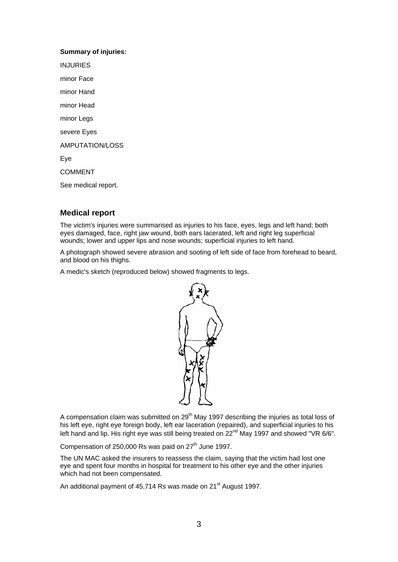# **Summary of injuries:** INJURIES minor Face minor Hand minor Head

minor Legs

severe Eyes

AMPUTATION/LOSS

Eye

COMMENT

See medical report.

# **Medical report**

The victim's injuries were summarised as injuries to his face, eyes, legs and left hand; both eyes damaged, face, right jaw wound, both ears lacerated, left and right leg superficial wounds; lower and upper lips and nose wounds; superficial injuries to left hand.

A photograph showed severe abrasion and sooting of left side of face from forehead to beard, and blood on his thighs.

A medic's sketch (reproduced below) showed fragments to legs.



A compensation claim was submitted on  $29<sup>th</sup>$  May 1997 describing the injuries as total loss of his left eye, right eye foreign body, left ear laceration (repaired), and superficial injuries to his left hand and lip. His right eye was still being treated on 22<sup>nd</sup> May 1997 and showed "VR 6/6".

Compensation of 250,000 Rs was paid on  $27<sup>th</sup>$  June 1997.

The UN MAC asked the insurers to reassess the claim, saying that the victim had lost one eye and spent four months in hospital for treatment to his other eye and the other injuries which had not been compensated.

An additional payment of 45,714 Rs was made on 21<sup>st</sup> August 1997.